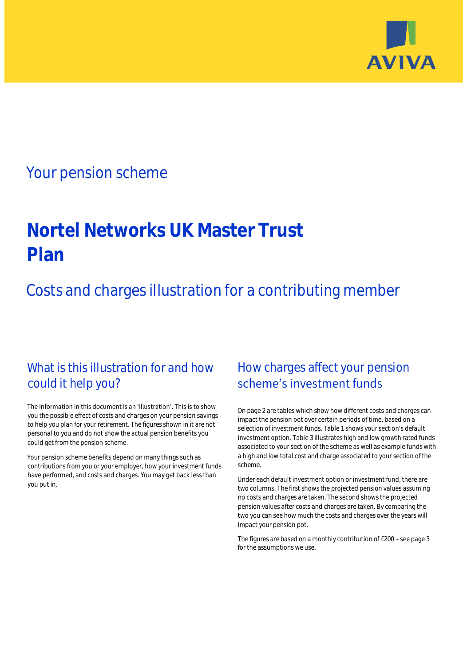

## Your pension scheme

# **Nortel Networks UK Master Trust Plan**

Costs and charges illustration for a contributing member

### What is this illustration for and how could it help you?

#### The information in this document is an 'illustration'. This is to show you the possible effect of costs and charges on your pension savings to help you plan for your retirement. The figures shown in it are not personal to you and do not show the actual pension benefits you could get from the pension scheme.

Your pension scheme benefits depend on many things such as contributions from you or your employer, how your investment funds have performed, and costs and charges. You may get back less than you put in.

### How charges affect your pension scheme's investment funds

On page 2 are tables which show how different costs and charges can impact the pension pot over certain periods of time, based on a selection of investment funds. Table 1 shows your section's default investment option. Table 3 illustrates high and low growth rated funds associated to your section of the scheme as well as example funds with a high and low total cost and charge associated to your section of the scheme.

Under each default investment option or investment fund, there are two columns. The first shows the projected pension values assuming no costs and charges are taken. The second shows the projected pension values after costs and charges are taken. By comparing the two you can see how much the costs and charges over the years will impact your pension pot.

The figures are based on a monthly contribution of £200 - see page 3 for the assumptions we use.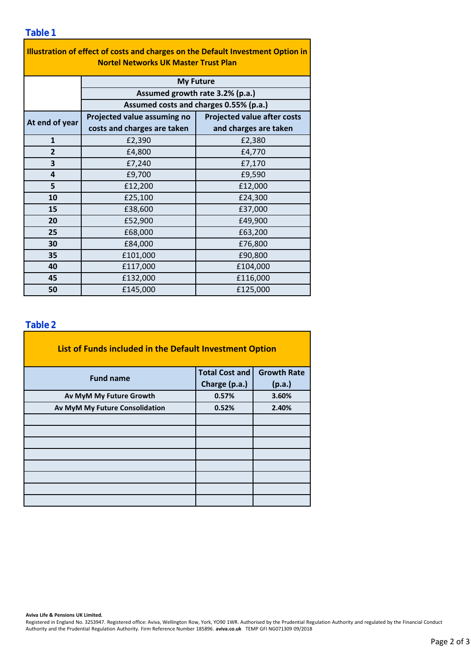#### **Table 1**

| Illustration of effect of costs and charges on the Default Investment Option in<br><b>Nortel Networks UK Master Trust Plan</b> |                                        |                                    |  |  |  |  |  |  |
|--------------------------------------------------------------------------------------------------------------------------------|----------------------------------------|------------------------------------|--|--|--|--|--|--|
|                                                                                                                                | <b>My Future</b>                       |                                    |  |  |  |  |  |  |
|                                                                                                                                | Assumed growth rate 3.2% (p.a.)        |                                    |  |  |  |  |  |  |
|                                                                                                                                | Assumed costs and charges 0.55% (p.a.) |                                    |  |  |  |  |  |  |
| At end of year                                                                                                                 | Projected value assuming no            | <b>Projected value after costs</b> |  |  |  |  |  |  |
|                                                                                                                                | costs and charges are taken            | and charges are taken              |  |  |  |  |  |  |
| $\mathbf{1}$                                                                                                                   | £2,390                                 | £2,380                             |  |  |  |  |  |  |
| $\overline{2}$                                                                                                                 | £4,800                                 | £4,770                             |  |  |  |  |  |  |
| 3                                                                                                                              | £7,240                                 | £7,170                             |  |  |  |  |  |  |
| 4                                                                                                                              | £9,700                                 | £9,590                             |  |  |  |  |  |  |
| 5                                                                                                                              | £12,200                                | £12,000                            |  |  |  |  |  |  |
| 10                                                                                                                             | £25,100                                | £24,300                            |  |  |  |  |  |  |
| 15                                                                                                                             | £38,600                                | £37,000                            |  |  |  |  |  |  |
| 20                                                                                                                             | £52,900                                | £49,900                            |  |  |  |  |  |  |
| 25                                                                                                                             | £68,000                                | £63,200                            |  |  |  |  |  |  |
| 30                                                                                                                             | £84,000                                | £76,800                            |  |  |  |  |  |  |
| 35                                                                                                                             | £101,000                               | £90,800                            |  |  |  |  |  |  |
| 40                                                                                                                             | £117,000                               | £104,000                           |  |  |  |  |  |  |
| 45                                                                                                                             | £132,000                               | £116,000                           |  |  |  |  |  |  |
| 50                                                                                                                             | £145,000                               | £125,000                           |  |  |  |  |  |  |

### **Table 2**

| List of Funds included in the Default Investment Option |                       |                    |  |  |  |  |  |  |
|---------------------------------------------------------|-----------------------|--------------------|--|--|--|--|--|--|
| <b>Fund name</b>                                        | <b>Total Cost and</b> | <b>Growth Rate</b> |  |  |  |  |  |  |
|                                                         | Charge (p.a.)         | (p.a.)             |  |  |  |  |  |  |
| Av MyM My Future Growth                                 | 0.57%                 | 3.60%              |  |  |  |  |  |  |
| Av MyM My Future Consolidation                          | 0.52%                 | 2.40%              |  |  |  |  |  |  |
|                                                         |                       |                    |  |  |  |  |  |  |
|                                                         |                       |                    |  |  |  |  |  |  |
|                                                         |                       |                    |  |  |  |  |  |  |
|                                                         |                       |                    |  |  |  |  |  |  |
|                                                         |                       |                    |  |  |  |  |  |  |
|                                                         |                       |                    |  |  |  |  |  |  |
|                                                         |                       |                    |  |  |  |  |  |  |
|                                                         |                       |                    |  |  |  |  |  |  |

**Aviva Life & Pensions UK Limited.**

Registered in England No. 3253947. Registered office: Aviva, Wellington Row, York, YO90 1WR. Authorised by the Prudential Regulation Authority and regulated by the Financial Conduct Authority and the Prudential Regulation Authority. Firm Reference Number 185896. **aviva.co.uk** TEMP GFI NG071309 09/2018